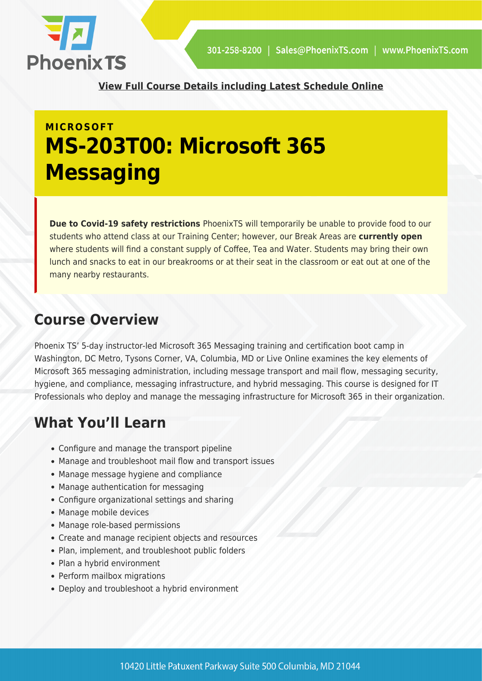

**[View Full Course Details including Latest Schedule Online](https://phoenixts.com/training-courses/ms-203t00-microsoft-365-messaging/)**

# **MICROSOFT MS-203T00: Microsoft 365 Messaging**

**Due to Covid-19 safety restrictions** PhoenixTS will temporarily be unable to provide food to our students who attend class at our Training Center; however, our Break Areas are **currently open** where students will find a constant supply of Coffee, Tea and Water. Students may bring their own lunch and snacks to eat in our breakrooms or at their seat in the classroom or eat out at one of the many nearby restaurants.

# **Course Overview**

Phoenix TS' 5-day instructor-led Microsoft 365 Messaging training and certification boot camp in Washington, DC Metro, Tysons Corner, VA, Columbia, MD or Live Online examines the key elements of Microsoft 365 messaging administration, including message transport and mail flow, messaging security, hygiene, and compliance, messaging infrastructure, and hybrid messaging. This course is designed for IT Professionals who deploy and manage the messaging infrastructure for Microsoft 365 in their organization.

# **What You'll Learn**

- Configure and manage the transport pipeline
- Manage and troubleshoot mail flow and transport issues
- Manage message hygiene and compliance
- Manage authentication for messaging
- Configure organizational settings and sharing
- Manage mobile devices
- Manage role-based permissions
- Create and manage recipient objects and resources
- Plan, implement, and troubleshoot public folders
- Plan a hybrid environment
- Perform mailbox migrations
- Deploy and troubleshoot a hybrid environment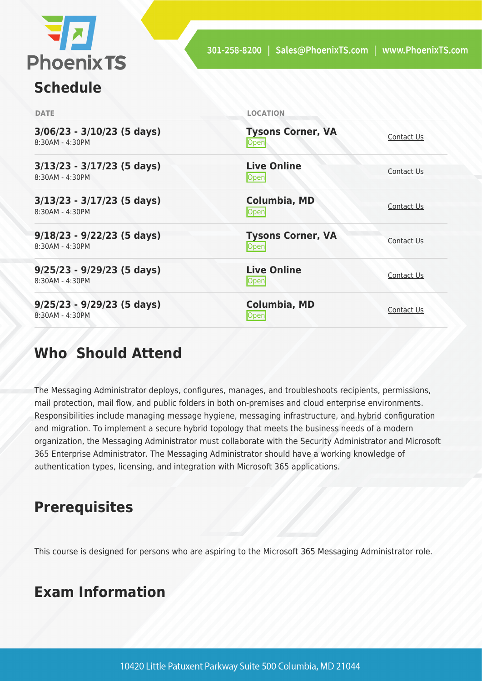

# **Schedule**

| <b>DATE</b>                                       | <b>LOCATION</b>                         |            |
|---------------------------------------------------|-----------------------------------------|------------|
| $3/06/23 - 3/10/23$ (5 days)<br>$8:30AM - 4:30PM$ | <b>Tysons Corner, VA</b><br><b>Open</b> | Contact Us |
| $3/13/23 - 3/17/23$ (5 days)<br>8:30AM - 4:30PM   | <b>Live Online</b><br>$\mathsf{Open}$   | Contact Us |
| $3/13/23 - 3/17/23$ (5 days)<br>$8:30AM - 4:30PM$ | <b>Columbia, MD</b><br><b>Open</b>      | Contact Us |
| $9/18/23 - 9/22/23$ (5 days)<br>8:30AM - 4:30PM   | <b>Tysons Corner, VA</b><br>Open        | Contact Us |
| $9/25/23 - 9/29/23$ (5 days)<br>8:30AM - 4:30PM   | <b>Live Online</b><br>Open              | Contact Us |
| $9/25/23 - 9/29/23$ (5 days)<br>8:30AM - 4:30PM   | <b>Columbia, MD</b><br><b>Open</b>      | Contact Us |

# **Who Should Attend**

The Messaging Administrator deploys, configures, manages, and troubleshoots recipients, permissions, mail protection, mail flow, and public folders in both on-premises and cloud enterprise environments. Responsibilities include managing message hygiene, messaging infrastructure, and hybrid configuration and migration. To implement a secure hybrid topology that meets the business needs of a modern organization, the Messaging Administrator must collaborate with the Security Administrator and Microsoft 365 Enterprise Administrator. The Messaging Administrator should have a working knowledge of authentication types, licensing, and integration with Microsoft 365 applications.

# **Prerequisites**

This course is designed for persons who are aspiring to the Microsoft 365 Messaging Administrator role.

# **Exam Information**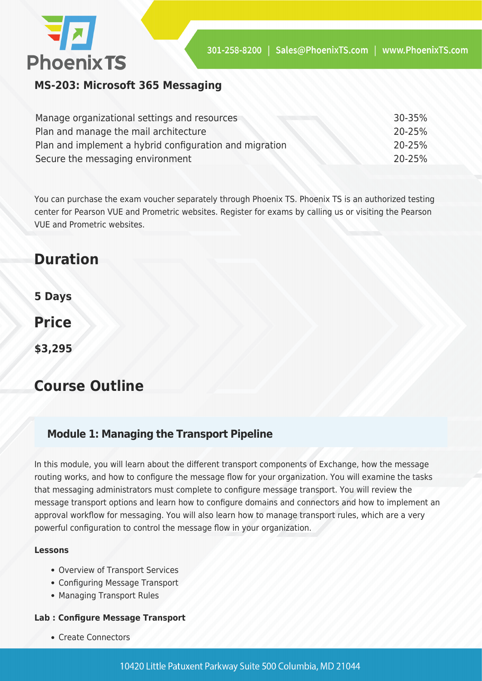

**MS-203: Microsoft 365 Messaging**

| Manage organizational settings and resources            | $30 - 35\%$ |
|---------------------------------------------------------|-------------|
| Plan and manage the mail architecture                   | 20-25%      |
| Plan and implement a hybrid configuration and migration | $20 - 25%$  |
| Secure the messaging environment                        | 20-25%      |

You can purchase the exam voucher separately through Phoenix TS. Phoenix TS is an authorized testing center for Pearson VUE and Prometric websites. Register for exams by calling us or visiting the Pearson VUE and Prometric websites.

# **Duration**

**5 Days**

**Price**

**\$3,295**

# **Course Outline**

## **Module 1: Managing the Transport Pipeline**

In this module, you will learn about the different transport components of Exchange, how the message routing works, and how to configure the message flow for your organization. You will examine the tasks that messaging administrators must complete to configure message transport. You will review the message transport options and learn how to configure domains and connectors and how to implement an approval workflow for messaging. You will also learn how to manage transport rules, which are a very powerful configuration to control the message flow in your organization.

#### **Lessons**

- Overview of Transport Services
- Configuring Message Transport
- Managing Transport Rules

#### **Lab : Configure Message Transport**

• Create Connectors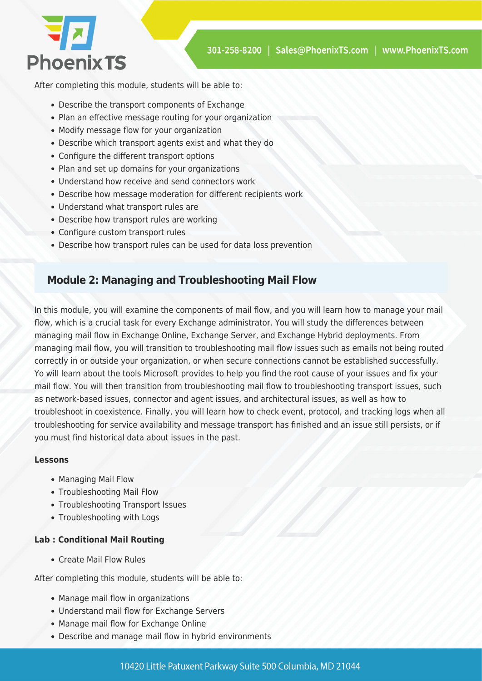

After completing this module, students will be able to:

- Describe the transport components of Exchange
- Plan an effective message routing for your organization
- Modify message flow for your organization
- Describe which transport agents exist and what they do
- Configure the different transport options
- Plan and set up domains for your organizations
- Understand how receive and send connectors work
- Describe how message moderation for different recipients work
- Understand what transport rules are
- Describe how transport rules are working
- Configure custom transport rules
- Describe how transport rules can be used for data loss prevention

### **Module 2: Managing and Troubleshooting Mail Flow**

In this module, you will examine the components of mail flow, and you will learn how to manage your mail flow, which is a crucial task for every Exchange administrator. You will study the differences between managing mail flow in Exchange Online, Exchange Server, and Exchange Hybrid deployments. From managing mail flow, you will transition to troubleshooting mail flow issues such as emails not being routed correctly in or outside your organization, or when secure connections cannot be established successfully. Yo will learn about the tools Microsoft provides to help you find the root cause of your issues and fix your mail flow. You will then transition from troubleshooting mail flow to troubleshooting transport issues, such as network-based issues, connector and agent issues, and architectural issues, as well as how to troubleshoot in coexistence. Finally, you will learn how to check event, protocol, and tracking logs when all troubleshooting for service availability and message transport has finished and an issue still persists, or if you must find historical data about issues in the past.

#### **Lessons**

- Managing Mail Flow
- Troubleshooting Mail Flow
- Troubleshooting Transport Issues
- Troubleshooting with Logs

#### **Lab : Conditional Mail Routing**

Create Mail Flow Rules

- Manage mail flow in organizations
- Understand mail flow for Exchange Servers
- Manage mail flow for Exchange Online
- Describe and manage mail flow in hybrid environments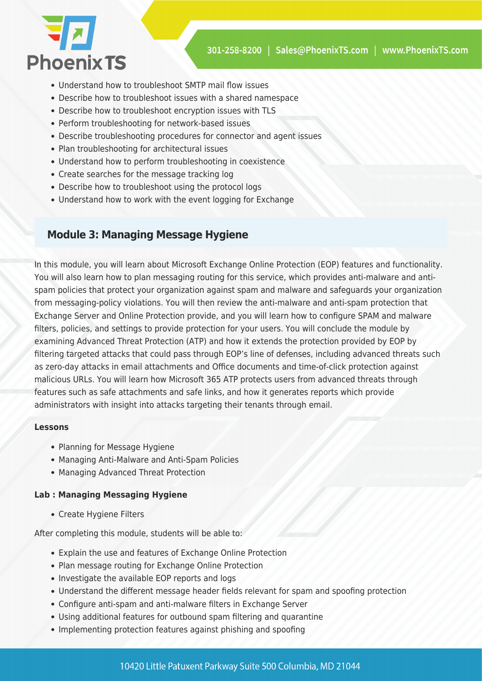

- Understand how to troubleshoot SMTP mail flow issues
- Describe how to troubleshoot issues with a shared namespace
- Describe how to troubleshoot encryption issues with TLS
- Perform troubleshooting for network-based issues
- Describe troubleshooting procedures for connector and agent issues
- Plan troubleshooting for architectural issues
- Understand how to perform troubleshooting in coexistence
- Create searches for the message tracking log
- Describe how to troubleshoot using the protocol logs
- Understand how to work with the event logging for Exchange

### **Module 3: Managing Message Hygiene**

In this module, you will learn about Microsoft Exchange Online Protection (EOP) features and functionality. You will also learn how to plan messaging routing for this service, which provides anti-malware and antispam policies that protect your organization against spam and malware and safeguards your organization from messaging-policy violations. You will then review the anti-malware and anti-spam protection that Exchange Server and Online Protection provide, and you will learn how to configure SPAM and malware filters, policies, and settings to provide protection for your users. You will conclude the module by examining Advanced Threat Protection (ATP) and how it extends the protection provided by EOP by filtering targeted attacks that could pass through EOP's line of defenses, including advanced threats such as zero-day attacks in email attachments and Office documents and time-of-click protection against malicious URLs. You will learn how Microsoft 365 ATP protects users from advanced threats through features such as safe attachments and safe links, and how it generates reports which provide administrators with insight into attacks targeting their tenants through email.

#### **Lessons**

- Planning for Message Hygiene
- Managing Anti-Malware and Anti-Spam Policies
- Managing Advanced Threat Protection

#### **Lab : Managing Messaging Hygiene**

Create Hygiene Filters

- Explain the use and features of Exchange Online Protection
- Plan message routing for Exchange Online Protection
- Investigate the available EOP reports and logs
- Understand the different message header fields relevant for spam and spoofing protection
- Configure anti-spam and anti-malware filters in Exchange Server
- Using additional features for outbound spam filtering and quarantine
- Implementing protection features against phishing and spoofing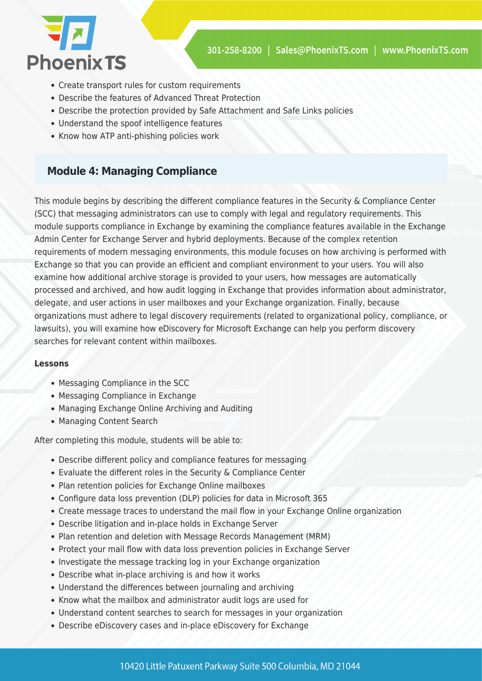

- Create transport rules for custom requirements
- Describe the features of Advanced Threat Protection
- Describe the protection provided by Safe Attachment and Safe Links policies
- Understand the spoof intelligence features
- Know how ATP anti-phishing policies work

## **Module 4: Managing Compliance**

This module begins by describing the different compliance features in the Security & Compliance Center (SCC) that messaging administrators can use to comply with legal and regulatory requirements. This module supports compliance in Exchange by examining the compliance features available in the Exchange Admin Center for Exchange Server and hybrid deployments. Because of the complex retention requirements of modern messaging environments, this module focuses on how archiving is performed with Exchange so that you can provide an efficient and compliant environment to your users. You will also examine how additional archive storage is provided to your users, how messages are automatically processed and archived, and how audit logging in Exchange that provides information about administrator, delegate, and user actions in user mailboxes and your Exchange organization. Finally, because organizations must adhere to legal discovery requirements (related to organizational policy, compliance, or lawsuits), you will examine how eDiscovery for Microsoft Exchange can help you perform discovery searches for relevant content within mailboxes.

#### **Lessons**

- Messaging Compliance in the SCC
- Messaging Compliance in Exchange
- Managing Exchange Online Archiving and Auditing
- Managing Content Search

- Describe different policy and compliance features for messaging
- Evaluate the different roles in the Security & Compliance Center
- Plan retention policies for Exchange Online mailboxes
- Configure data loss prevention (DLP) policies for data in Microsoft 365
- Create message traces to understand the mail flow in your Exchange Online organization
- Describe litigation and in-place holds in Exchange Server
- Plan retention and deletion with Message Records Management (MRM)
- Protect your mail flow with data loss prevention policies in Exchange Server
- Investigate the message tracking log in your Exchange organization
- Describe what in-place archiving is and how it works
- Understand the differences between journaling and archiving
- Know what the mailbox and administrator audit logs are used for
- Understand content searches to search for messages in your organization
- Describe eDiscovery cases and in-place eDiscovery for Exchange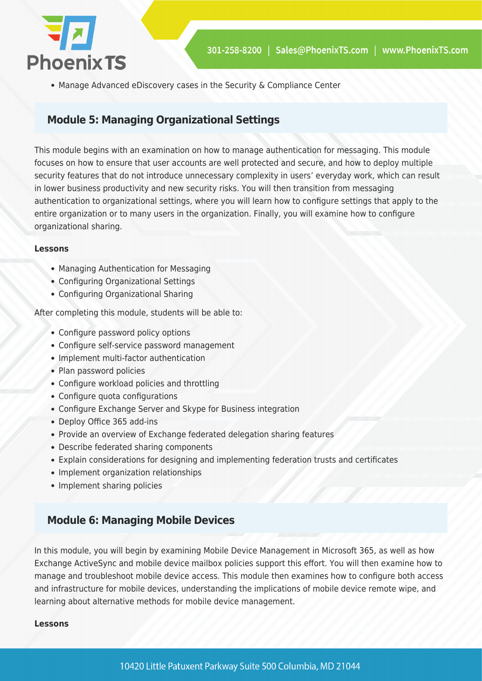

Manage Advanced eDiscovery cases in the Security & Compliance Center

## **Module 5: Managing Organizational Settings**

This module begins with an examination on how to manage authentication for messaging. This module focuses on how to ensure that user accounts are well protected and secure, and how to deploy multiple security features that do not introduce unnecessary complexity in users' everyday work, which can result in lower business productivity and new security risks. You will then transition from messaging authentication to organizational settings, where you will learn how to configure settings that apply to the entire organization or to many users in the organization. Finally, you will examine how to configure organizational sharing.

#### **Lessons**

- Managing Authentication for Messaging
- Configuring Organizational Settings
- Configuring Organizational Sharing

After completing this module, students will be able to:

- Configure password policy options
- Configure self-service password management
- Implement multi-factor authentication
- Plan password policies
- Configure workload policies and throttling
- Configure quota configurations
- Configure Exchange Server and Skype for Business integration
- Deploy Office 365 add-ins
- Provide an overview of Exchange federated delegation sharing features
- Describe federated sharing components
- Explain considerations for designing and implementing federation trusts and certificates
- Implement organization relationships
- Implement sharing policies

## **Module 6: Managing Mobile Devices**

In this module, you will begin by examining Mobile Device Management in Microsoft 365, as well as how Exchange ActiveSync and mobile device mailbox policies support this effort. You will then examine how to manage and troubleshoot mobile device access. This module then examines how to configure both access and infrastructure for mobile devices, understanding the implications of mobile device remote wipe, and learning about alternative methods for mobile device management.

#### **Lessons**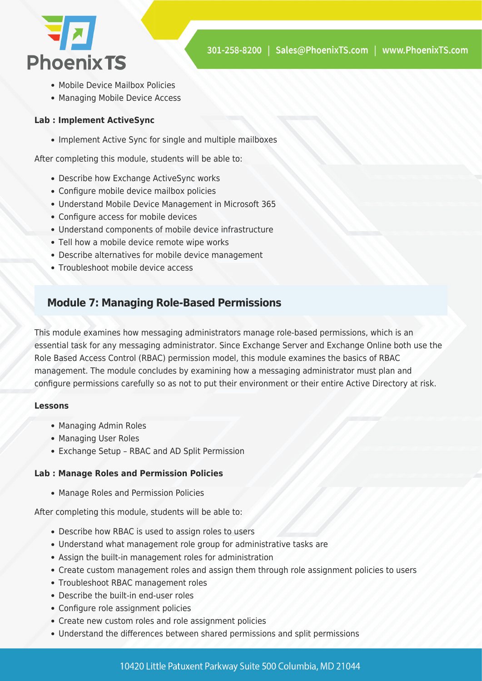

- Mobile Device Mailbox Policies
- Managing Mobile Device Access

#### **Lab : Implement ActiveSync**

• Implement Active Sync for single and multiple mailboxes

After completing this module, students will be able to:

- Describe how Exchange ActiveSync works
- Configure mobile device mailbox policies
- Understand Mobile Device Management in Microsoft 365
- Configure access for mobile devices
- Understand components of mobile device infrastructure
- Tell how a mobile device remote wipe works
- Describe alternatives for mobile device management
- Troubleshoot mobile device access

## **Module 7: Managing Role-Based Permissions**

This module examines how messaging administrators manage role-based permissions, which is an essential task for any messaging administrator. Since Exchange Server and Exchange Online both use the Role Based Access Control (RBAC) permission model, this module examines the basics of RBAC management. The module concludes by examining how a messaging administrator must plan and configure permissions carefully so as not to put their environment or their entire Active Directory at risk.

#### **Lessons**

- Managing Admin Roles
- Managing User Roles
- Exchange Setup RBAC and AD Split Permission

#### **Lab : Manage Roles and Permission Policies**

Manage Roles and Permission Policies

- Describe how RBAC is used to assign roles to users
- Understand what management role group for administrative tasks are
- Assign the built-in management roles for administration
- Create custom management roles and assign them through role assignment policies to users
- Troubleshoot RBAC management roles
- Describe the built-in end-user roles
- Configure role assignment policies
- Create new custom roles and role assignment policies
- Understand the differences between shared permissions and split permissions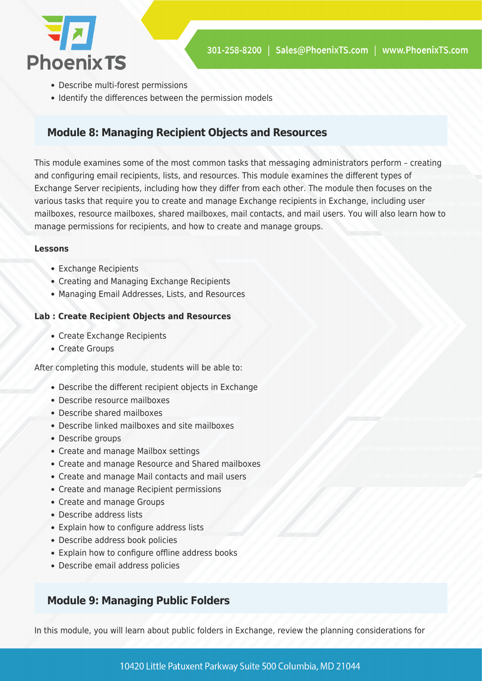

- Describe multi-forest permissions
- Identify the differences between the permission models

## **Module 8: Managing Recipient Objects and Resources**

This module examines some of the most common tasks that messaging administrators perform – creating and configuring email recipients, lists, and resources. This module examines the different types of Exchange Server recipients, including how they differ from each other. The module then focuses on the various tasks that require you to create and manage Exchange recipients in Exchange, including user mailboxes, resource mailboxes, shared mailboxes, mail contacts, and mail users. You will also learn how to manage permissions for recipients, and how to create and manage groups.

#### **Lessons**

- Exchange Recipients
- Creating and Managing Exchange Recipients
- Managing Email Addresses, Lists, and Resources

#### **Lab : Create Recipient Objects and Resources**

- Create Exchange Recipients
- Create Groups

After completing this module, students will be able to:

- Describe the different recipient objects in Exchange
- Describe resource mailboxes
- Describe shared mailboxes
- Describe linked mailboxes and site mailboxes
- Describe groups
- Create and manage Mailbox settings
- Create and manage Resource and Shared mailboxes
- Create and manage Mail contacts and mail users
- Create and manage Recipient permissions
- Create and manage Groups
- Describe address lists
- Explain how to configure address lists
- Describe address book policies
- Explain how to configure offline address books
- Describe email address policies

# **Module 9: Managing Public Folders**

In this module, you will learn about public folders in Exchange, review the planning considerations for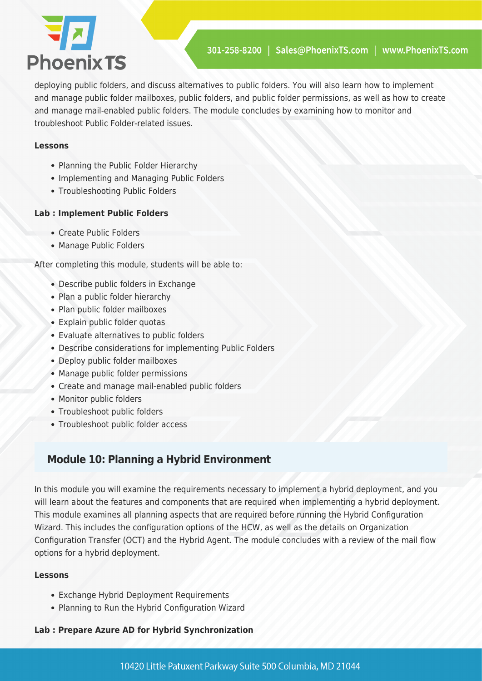# 74 **Phoenix TS**

deploying public folders, and discuss alternatives to public folders. You will also learn how to implement and manage public folder mailboxes, public folders, and public folder permissions, as well as how to create and manage mail-enabled public folders. The module concludes by examining how to monitor and troubleshoot Public Folder-related issues.

#### **Lessons**

- Planning the Public Folder Hierarchy
- Implementing and Managing Public Folders
- Troubleshooting Public Folders

#### **Lab : Implement Public Folders**

- Create Public Folders
- Manage Public Folders

After completing this module, students will be able to:

- Describe public folders in Exchange
- Plan a public folder hierarchy
- Plan public folder mailboxes
- Explain public folder quotas
- Evaluate alternatives to public folders
- Describe considerations for implementing Public Folders
- Deploy public folder mailboxes
- Manage public folder permissions
- Create and manage mail-enabled public folders
- Monitor public folders
- Troubleshoot public folders
- Troubleshoot public folder access

# **Module 10: Planning a Hybrid Environment**

In this module you will examine the requirements necessary to implement a hybrid deployment, and you will learn about the features and components that are required when implementing a hybrid deployment. This module examines all planning aspects that are required before running the Hybrid Configuration Wizard. This includes the configuration options of the HCW, as well as the details on Organization Configuration Transfer (OCT) and the Hybrid Agent. The module concludes with a review of the mail flow options for a hybrid deployment.

#### **Lessons**

- Exchange Hybrid Deployment Requirements
- Planning to Run the Hybrid Configuration Wizard

#### **Lab : Prepare Azure AD for Hybrid Synchronization**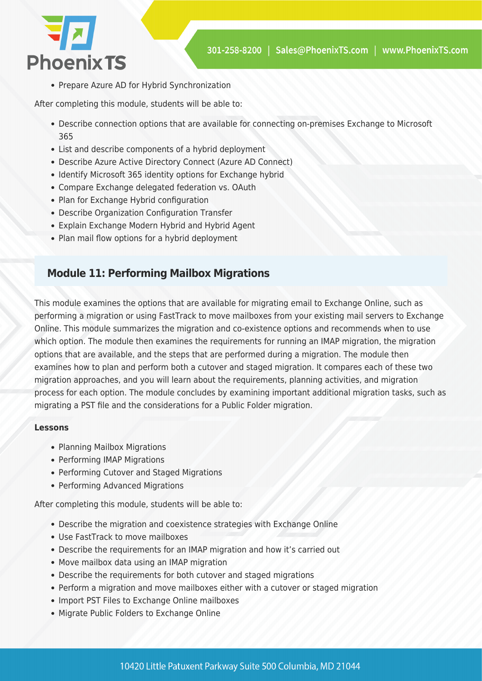

• Prepare Azure AD for Hybrid Synchronization

After completing this module, students will be able to:

- Describe connection options that are available for connecting on-premises Exchange to Microsoft 365
- List and describe components of a hybrid deployment
- Describe Azure Active Directory Connect (Azure AD Connect)
- Identify Microsoft 365 identity options for Exchange hybrid
- Compare Exchange delegated federation vs. OAuth
- Plan for Exchange Hybrid configuration
- Describe Organization Configuration Transfer
- Explain Exchange Modern Hybrid and Hybrid Agent
- Plan mail flow options for a hybrid deployment

## **Module 11: Performing Mailbox Migrations**

This module examines the options that are available for migrating email to Exchange Online, such as performing a migration or using FastTrack to move mailboxes from your existing mail servers to Exchange Online. This module summarizes the migration and co-existence options and recommends when to use which option. The module then examines the requirements for running an IMAP migration, the migration options that are available, and the steps that are performed during a migration. The module then examines how to plan and perform both a cutover and staged migration. It compares each of these two migration approaches, and you will learn about the requirements, planning activities, and migration process for each option. The module concludes by examining important additional migration tasks, such as migrating a PST file and the considerations for a Public Folder migration.

#### **Lessons**

- Planning Mailbox Migrations
- Performing IMAP Migrations
- Performing Cutover and Staged Migrations
- Performing Advanced Migrations

- Describe the migration and coexistence strategies with Exchange Online
- Use FastTrack to move mailboxes
- Describe the requirements for an IMAP migration and how it's carried out
- Move mailbox data using an IMAP migration
- Describe the requirements for both cutover and staged migrations
- Perform a migration and move mailboxes either with a cutover or staged migration
- Import PST Files to Exchange Online mailboxes
- Migrate Public Folders to Exchange Online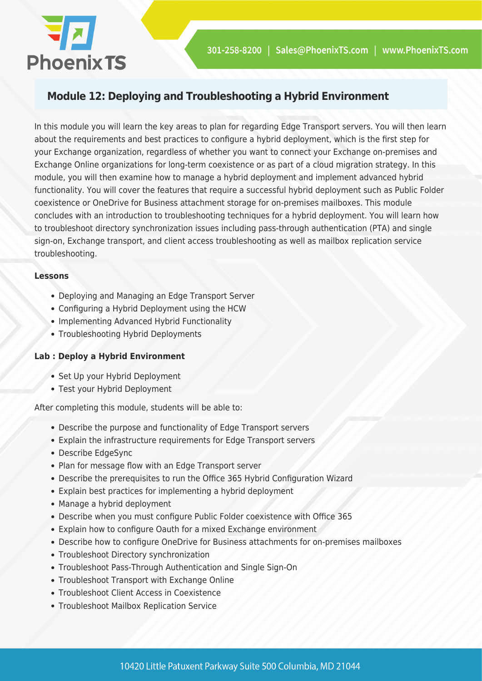

## **Module 12: Deploying and Troubleshooting a Hybrid Environment**

In this module you will learn the key areas to plan for regarding Edge Transport servers. You will then learn about the requirements and best practices to configure a hybrid deployment, which is the first step for your Exchange organization, regardless of whether you want to connect your Exchange on-premises and Exchange Online organizations for long-term coexistence or as part of a cloud migration strategy. In this module, you will then examine how to manage a hybrid deployment and implement advanced hybrid functionality. You will cover the features that require a successful hybrid deployment such as Public Folder coexistence or OneDrive for Business attachment storage for on-premises mailboxes. This module concludes with an introduction to troubleshooting techniques for a hybrid deployment. You will learn how to troubleshoot directory synchronization issues including pass-through authentication (PTA) and single sign-on, Exchange transport, and client access troubleshooting as well as mailbox replication service troubleshooting.

#### **Lessons**

- Deploying and Managing an Edge Transport Server
- Configuring a Hybrid Deployment using the HCW
- Implementing Advanced Hybrid Functionality
- Troubleshooting Hybrid Deployments

#### **Lab : Deploy a Hybrid Environment**

- Set Up your Hybrid Deployment
- Test your Hybrid Deployment

- Describe the purpose and functionality of Edge Transport servers
- Explain the infrastructure requirements for Edge Transport servers
- Describe EdgeSync
- Plan for message flow with an Edge Transport server
- Describe the prerequisites to run the Office 365 Hybrid Configuration Wizard
- Explain best practices for implementing a hybrid deployment
- Manage a hybrid deployment
- Describe when you must configure Public Folder coexistence with Office 365
- Explain how to configure Oauth for a mixed Exchange environment
- Describe how to configure OneDrive for Business attachments for on-premises mailboxes
- Troubleshoot Directory synchronization
- Troubleshoot Pass-Through Authentication and Single Sign-On
- Troubleshoot Transport with Exchange Online
- Troubleshoot Client Access in Coexistence
- Troubleshoot Mailbox Replication Service